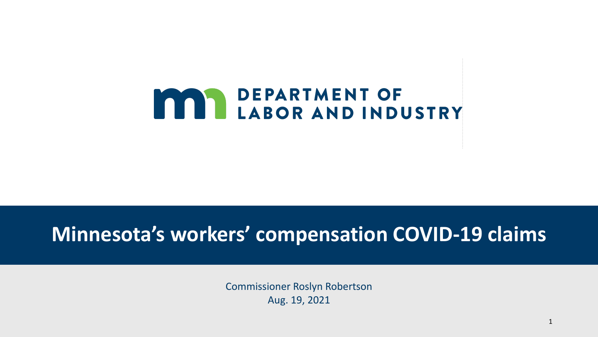

## **Minnesota's workers' compensation COVID-19 claims**

Commissioner Roslyn Robertson Aug. 19, 2021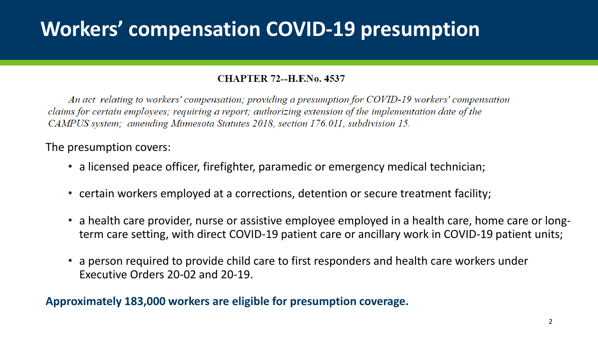## **Workers' compensation COVID-19 presumption**

#### **CHAPTER 72--H.F.No. 4537**

An act relating to workers' compensation; providing a presumption for COVID-19 workers' compensation claims for certain employees; requiring a report; authorizing extension of the implementation date of the CAMPUS system; amending Minnesota Statutes 2018, section 176.011, subdivision 15.

The presumption covers:

- a licensed peace officer, firefighter, paramedic or emergency medical technician;
- certain workers employed at a corrections, detention or secure treatment facility;
- a health care provider, nurse or assistive employee employed in a health care, home care or longterm care setting, with direct COVID-19 patient care or ancillary work in COVID-19 patient units;
- a person required to provide child care to first responders and health care workers under Executive Orders 20-02 and 20-19.

**Approximately 183,000 workers are eligible for presumption coverage.**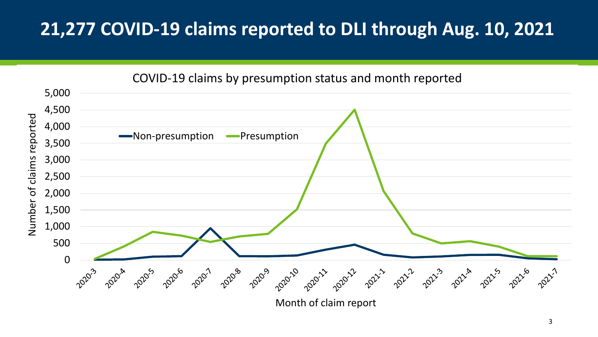## **21,277 COVID-19 claims reported to DLI through Aug. 10, 2021**



Month of claim report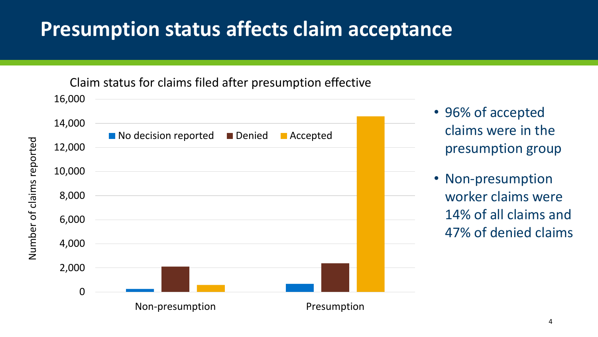## **Presumption status affects claim acceptance**

16,000 Claim status for claims filed after presumption effective



Number of claims reported

- 96% of accepted claims were in the presumption group
- Non-presumption worker claims were 14% of all claims and 47% of denied claims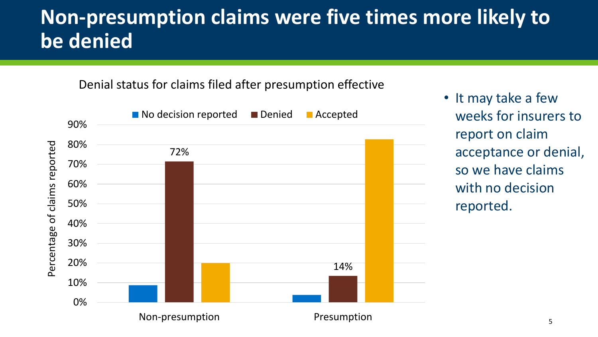## **Non-presumption claims were five times more likely to be denied**

Denial status for claims filed after presumption effective



• It may take a few weeks for insurers to report on claim acceptance or denial, so we have claims with no decision reported.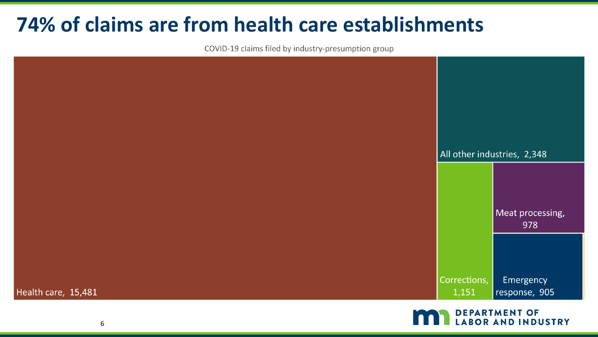## **74% of claims are from health care establishments**

COVID-19 claims filed by industry-presumption group



**DEPARTMENT OF BOR AND INDUSTRY**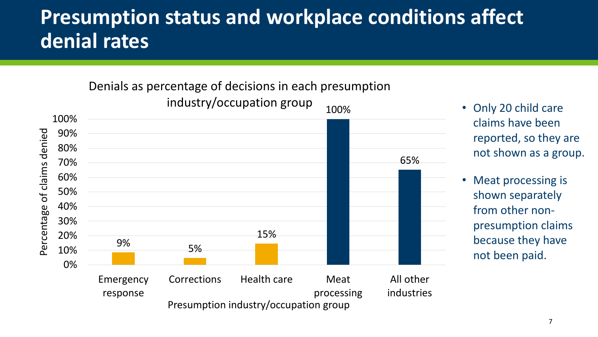## **Presumption status and workplace conditions affect denial rates**

### Denials as percentage of decisions in each presumption



- Only 20 child care claims have been reported, so they are not shown as a group.
- Meat processing is shown separately from other nonpresumption claims because they have not been paid.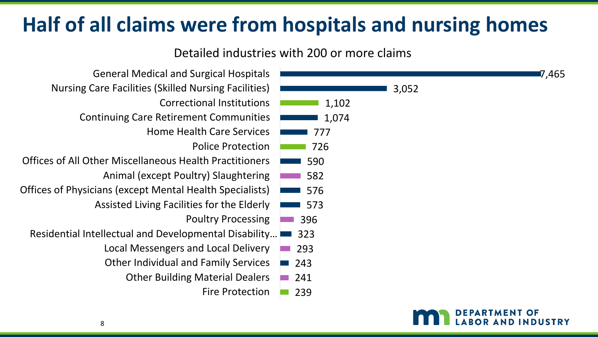## **Half of all claims were from hospitals and nursing homes**

#### Detailed industries with 200 or more claims

| <b>General Medical and Surgical Hospitals</b>                  | <b>7,465</b>         |
|----------------------------------------------------------------|----------------------|
| <b>Nursing Care Facilities (Skilled Nursing Facilities)</b>    | 3,052                |
| <b>Correctional Institutions</b>                               | 1,102                |
| <b>Continuing Care Retirement Communities</b>                  | 1,074                |
| <b>Home Health Care Services</b>                               | 777                  |
| <b>Police Protection</b>                                       | 726                  |
| <b>Offices of All Other Miscellaneous Health Practitioners</b> | 590                  |
| Animal (except Poultry) Slaughtering                           | 582                  |
| Offices of Physicians (except Mental Health Specialists)       | 576                  |
| Assisted Living Facilities for the Elderly                     | 573                  |
| <b>Poultry Processing</b>                                      | 396                  |
| Residential Intellectual and Developmental Disability          | 323                  |
| Local Messengers and Local Delivery                            | 293                  |
| <b>Other Individual and Family Services</b>                    | 243                  |
| <b>Other Building Material Dealers</b>                         | 241                  |
| <b>Fire Protection</b>                                         | 239                  |
|                                                                | <b>DEPARTMENT OF</b> |

**BOR AND INDUSTRY**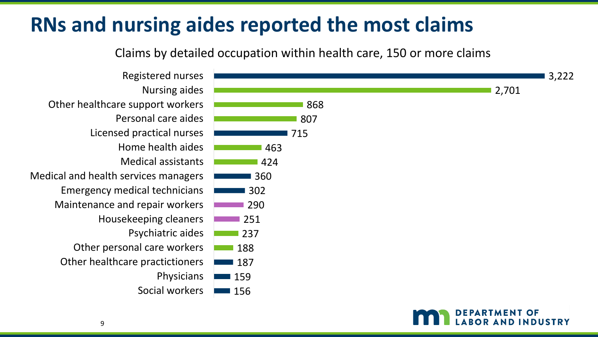## **RNs and nursing aides reported the most claims**

Claims by detailed occupation within health care, 150 or more claims

156 159 187 188 237 251 290 302 360 424 463 715 807 868 2,701 3,222 Social workers Physicians Other healthcare practictioners Other personal care workers Psychiatric aides Housekeeping cleaners Maintenance and repair workers Emergency medical technicians Medical and health services managers Medical assistants Home health aides Licensed practical nurses Personal care aides Other healthcare support workers Nursing aides Registered nurses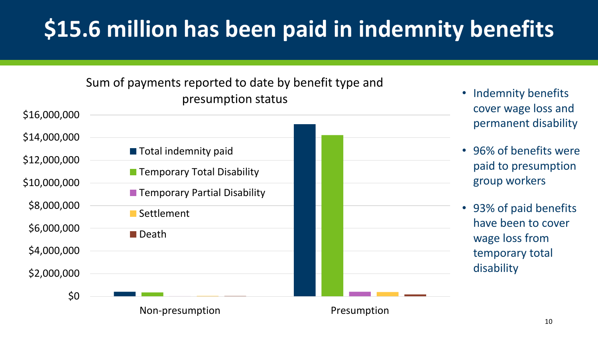## **\$15.6 million has been paid in indemnity benefits**

### Sum of payments reported to date by benefit type and presumption status



- Indemnity benefits cover wage loss and permanent disability
- 96% of benefits were paid to presumption group workers
- 93% of paid benefits have been to cover wage loss from temporary total disability